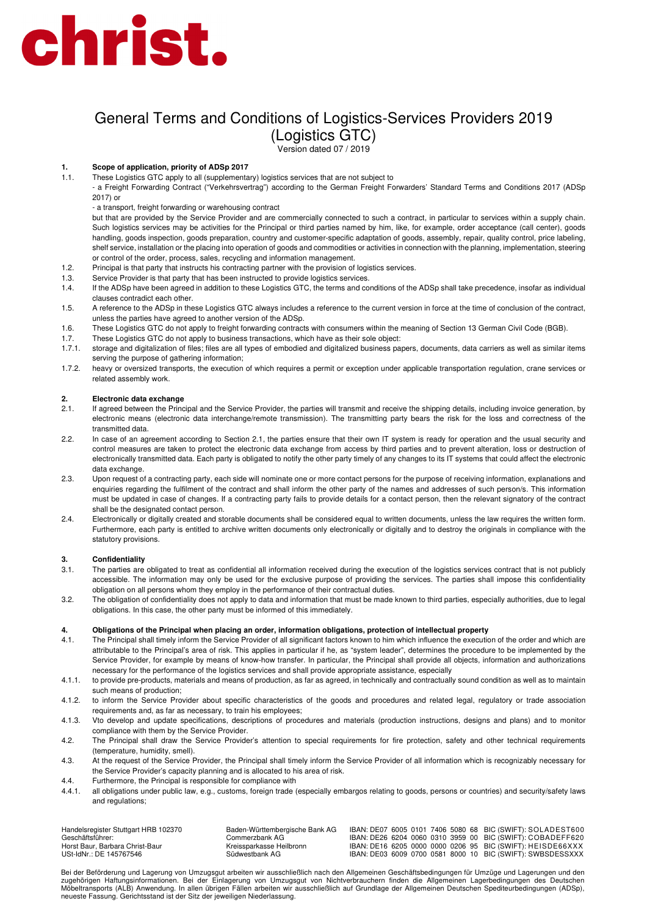## General Terms and Conditions of Logistics-Services Providers 2019 (Logistics GTC)

Version dated 07 / 2019

### **1. Scope of application, priority of ADSp 2017**

1.1. These Logistics GTC apply to all (supplementary) logistics services that are not subject to

- a Freight Forwarding Contract ("Verkehrsvertrag") according to the German Freight Forwarders' Standard Terms and Conditions 2017 (ADSp 2017) or

- a transport, freight forwarding or warehousing contract

but that are provided by the Service Provider and are commercially connected to such a contract, in particular to services within a supply chain. Such logistics services may be activities for the Principal or third parties named by him, like, for example, order acceptance (call center), goods handling, goods inspection, goods preparation, country and customer-specific adaptation of goods, assembly, repair, quality control, price labeling, shelf service, installation or the placing into operation of goods and commodities or activities in connection with the planning, implementation, steering or control of the order, process, sales, recycling and information management.

- 1.2. Principal is that party that instructs his contracting partner with the provision of logistics services.<br>1.3. Service Provider is that party that has been instructed to provide logistics services.
- Service Provider is that party that has been instructed to provide logistics services.
- 1.4. If the ADSp have been agreed in addition to these Logistics GTC, the terms and conditions of the ADSp shall take precedence, insofar as individual clauses contradict each other.
- 1.5. A reference to the ADSp in these Logistics GTC always includes a reference to the current version in force at the time of conclusion of the contract, unless the parties have agreed to another version of the ADSp.
- 1.6. These Logistics GTC do not apply to freight forwarding contracts with consumers within the meaning of Section 13 German Civil Code (BGB).
- 1.7. These Logistics GTC do not apply to business transactions, which have as their sole object:
- 1.7.1. storage and digitalization of files; files are all types of embodied and digitalized business papers, documents, data carriers as well as similar items serving the purpose of gathering information;
- 1.7.2. heavy or oversized transports, the execution of which requires a permit or exception under applicable transportation regulation, crane services or related assembly work.

### **2. Electronic data exchange**

- 2.1. If agreed between the Principal and the Service Provider, the parties will transmit and receive the shipping details, including invoice generation, by electronic means (electronic data interchange/remote transmission). The transmitting party bears the risk for the loss and correctness of the transmitted data.
- 2.2. In case of an agreement according to Section 2.1, the parties ensure that their own IT system is ready for operation and the usual security and control measures are taken to protect the electronic data exchange from access by third parties and to prevent alteration, loss or destruction of electronically transmitted data. Each party is obligated to notify the other party timely of any changes to its IT systems that could affect the electronic data exchange.
- 2.3. Upon request of a contracting party, each side will nominate one or more contact persons for the purpose of receiving information, explanations and enquiries regarding the fulfilment of the contract and shall inform the other party of the names and addresses of such person/s. This information must be updated in case of changes. If a contracting party fails to provide details for a contact person, then the relevant signatory of the contract shall be the designated contact person.
- 2.4. Electronically or digitally created and storable documents shall be considered equal to written documents, unless the law requires the written form. Furthermore, each party is entitled to archive written documents only electronically or digitally and to destroy the originals in compliance with the statutory provisions.

### **3. Confidentiality**

- 3.1. The parties are obligated to treat as confidential all information received during the execution of the logistics services contract that is not publicly accessible. The information may only be used for the exclusive purpose of providing the services. The parties shall impose this confidentiality obligation on all persons whom they employ in the performance of their contractual duties.
- 3.2. The obligation of confidentiality does not apply to data and information that must be made known to third parties, especially authorities, due to legal obligations. In this case, the other party must be informed of this immediately.

#### **4. Obligations of the Principal when placing an order, information obligations, protection of intellectual property**

- 4.1. The Principal shall timely inform the Service Provider of all significant factors known to him which influence the execution of the order and which are attributable to the Principal's area of risk. This applies in particular if he, as "system leader", determines the procedure to be implemented by the Service Provider, for example by means of know-how transfer. In particular, the Principal shall provide all objects, information and authorizations necessary for the performance of the logistics services and shall provide appropriate assistance, especially
- 4.1.1. to provide pre-products, materials and means of production, as far as agreed, in technically and contractually sound condition as well as to maintain such means of production;
- 4.1.2. to inform the Service Provider about specific characteristics of the goods and procedures and related legal, regulatory or trade association requirements and, as far as necessary, to train his employees;
- 4.1.3. Vto develop and update specifications, descriptions of procedures and materials (production instructions, designs and plans) and to monitor compliance with them by the Service Provider.
- 4.2. The Principal shall draw the Service Provider's attention to special requirements for fire protection, safety and other technical requirements (temperature, humidity, smell).
- 4.3. At the request of the Service Provider, the Principal shall timely inform the Service Provider of all information which is recognizably necessary for the Service Provider's capacity planning and is allocated to his area of risk.
- 4.4. Furthermore, the Principal is responsible for compliance with
- 4.4.1. all obligations under public law, e.g., customs, foreign trade (especially embargos relating to goods, persons or countries) and security/safety laws and regulations;

| Handelsregister Stuttgart HRB 102370 | Baden-Württembergische Bank AG |  |  | IBAN: DE07 6005 0101 7406 5080 68 BIC (SWIFT): SOLADEST600 |
|--------------------------------------|--------------------------------|--|--|------------------------------------------------------------|
| Geschäftsführer:                     | Commerzbank AG.                |  |  | IBAN: DE26 6204 0060 0310 3959 00 BIC (SWIFT): COBADEFF620 |
| Horst Baur, Barbara Christ-Baur      | Kreissparkasse Heilbronn       |  |  | IBAN: DE16 6205 0000 0000 0206 95 BIC (SWIFT): HEISDE66XXX |
| USt-IdNr.: DE 145767546              | Südwestbank AG                 |  |  | IBAN: DE03 6009 0700 0581 8000 10 BIC (SWIFT): SWBSDESSXXX |

Bei der Beförderung und Lagerung von Umzugsgut arbeiten wir ausschließlich nach den Allgemeinen Geschäftsbedingungen für Umzüge und Lagerungen und den zugehörigen Haftungsinformationen. Bei der Einlagerung von Umzugsgut von Nichtverbrauchern finden die Allgemeinen Lagerbedingungen des Deutschen Möbeltransports (ALB) Anwendung. In allen übrigen Fällen arbeiten wir ausschließlich auf Grundlage der Allgemeinen Deutschen Spediteurbedingungen (ADSp), neueste Fassung. Gerichtsstand ist der Sitz der jeweiligen Niederlassung.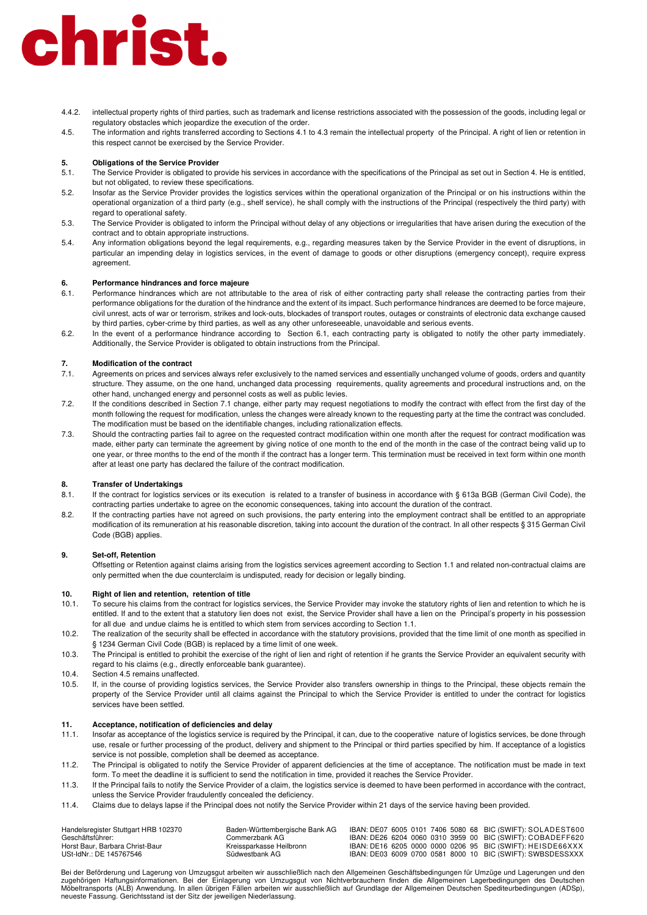- 4.4.2. intellectual property rights of third parties, such as trademark and license restrictions associated with the possession of the goods, including legal or regulatory obstacles which jeopardize the execution of the order.
- 4.5. The information and rights transferred according to Sections 4.1 to 4.3 remain the intellectual property of the Principal. A right of lien or retention in this respect cannot be exercised by the Service Provider.

### **5. Obligations of the Service Provider**

- 5.1. The Service Provider is obligated to provide his services in accordance with the specifications of the Principal as set out in Section 4. He is entitled, but not obligated, to review these specifications.
- 5.2. Insofar as the Service Provider provides the logistics services within the operational organization of the Principal or on his instructions within the operational organization of a third party (e.g., shelf service), he shall comply with the instructions of the Principal (respectively the third party) with regard to operational safety.
- 5.3. The Service Provider is obligated to inform the Principal without delay of any objections or irregularities that have arisen during the execution of the contract and to obtain appropriate instructions.
- 5.4. Any information obligations beyond the legal requirements, e.g., regarding measures taken by the Service Provider in the event of disruptions, in particular an impending delay in logistics services, in the event of damage to goods or other disruptions (emergency concept), require express agreement.

## **6. Performance hindrances and force majeure**

- Performance hindrances which are not attributable to the area of risk of either contracting party shall release the contracting parties from their performance obligations for the duration of the hindrance and the extent of its impact. Such performance hindrances are deemed to be force majeure, civil unrest, acts of war or terrorism, strikes and lock-outs, blockades of transport routes, outages or constraints of electronic data exchange caused by third parties, cyber-crime by third parties, as well as any other unforeseeable, unavoidable and serious events.
- 6.2. In the event of a performance hindrance according to Section 6.1, each contracting party is obligated to notify the other party immediately. Additionally, the Service Provider is obligated to obtain instructions from the Principal.

### **7. Modification of the contract**

- 7.1. Agreements on prices and services always refer exclusively to the named services and essentially unchanged volume of goods, orders and quantity structure. They assume, on the one hand, unchanged data processing requirements, quality agreements and procedural instructions and, on the other hand, unchanged energy and personnel costs as well as public levies.
- 7.2. If the conditions described in Section 7.1 change, either party may request negotiations to modify the contract with effect from the first day of the month following the request for modification, unless the changes were already known to the requesting party at the time the contract was concluded. The modification must be based on the identifiable changes, including rationalization effects.
- 7.3. Should the contracting parties fail to agree on the requested contract modification within one month after the request for contract modification was made, either party can terminate the agreement by giving notice of one month to the end of the month in the case of the contract being valid up to one year, or three months to the end of the month if the contract has a longer term. This termination must be received in text form within one month after at least one party has declared the failure of the contract modification.

## **8. Transfer of Undertakings**<br>**8.1 If the contract for logistics**

- If the contract for logistics services or its execution is related to a transfer of business in accordance with § 613a BGB (German Civil Code), the contracting parties undertake to agree on the economic consequences, taking into account the duration of the contract.
- 8.2. If the contracting parties have not agreed on such provisions, the party entering into the employment contract shall be entitled to an appropriate modification of its remuneration at his reasonable discretion, taking into account the duration of the contract. In all other respects § 315 German Civil Code (BGB) applies.

### **9. Set-off, Retention**

Offsetting or Retention against claims arising from the logistics services agreement according to Section 1.1 and related non-contractual claims are only permitted when the due counterclaim is undisputed, ready for decision or legally binding.

### **10. Right of lien and retention, retention of title**

- 10.1. To secure his claims from the contract for logistics services, the Service Provider may invoke the statutory rights of lien and retention to which he is entitled. If and to the extent that a statutory lien does not exist, the Service Provider shall have a lien on the Principal's property in his possession for all due and undue claims he is entitled to which stem from services according to Section 1.1.
- 10.2. The realization of the security shall be effected in accordance with the statutory provisions, provided that the time limit of one month as specified in § 1234 German Civil Code (BGB) is replaced by a time limit of one week.
- 10.3. The Principal is entitled to prohibit the exercise of the right of lien and right of retention if he grants the Service Provider an equivalent security with regard to his claims (e.g., directly enforceable bank guarantee).
- 10.4. Section 4.5 remains unaffected.<br>10.5 If in the course of providing loc
- 10.5. If, in the course of providing logistics services, the Service Provider also transfers ownership in things to the Principal, these objects remain the property of the Service Provider until all claims against the Principal to which the Service Provider is entitled to under the contract for logistics services have been settled.

### **11. Acceptance, notification of deficiencies and delay**

- 11.1. Insofar as acceptance of the logistics service is required by the Principal, it can, due to the cooperative nature of logistics services, be done through use, resale or further processing of the product, delivery and shipment to the Principal or third parties specified by him. If acceptance of a logistics service is not possible, completion shall be deemed as acceptance.
- 11.2. The Principal is obligated to notify the Service Provider of apparent deficiencies at the time of acceptance. The notification must be made in text form. To meet the deadline it is sufficient to send the notification in time, provided it reaches the Service Provider.
- 11.3. If the Principal fails to notify the Service Provider of a claim, the logistics service is deemed to have been performed in accordance with the contract, unless the Service Provider fraudulently concealed the deficiency.
- 11.4. Claims due to delays lapse if the Principal does not notify the Service Provider within 21 days of the service having been provided.

| Handelsregister Stuttgart HRB 102370 | Baden-Württembergische Bank AG |  |  |  | IBAN: DE07 6005 0101 7406 5080 68 BIC (SWIFT): SOLADEST600 |
|--------------------------------------|--------------------------------|--|--|--|------------------------------------------------------------|
| Geschäftsführer:                     | Commerzbank AG.                |  |  |  | IBAN: DE26 6204 0060 0310 3959 00 BIC (SWIFT): COBADEFF620 |
| Horst Baur, Barbara Christ-Baur      | Kreissparkasse Heilbronn       |  |  |  | IBAN: DE16 6205 0000 0000 0206 95 BIC (SWIFT): HEISDE66XXX |
| USt-IdNr.: DE 145767546              | Südwestbank AG                 |  |  |  | IBAN: DE03 6009 0700 0581 8000 10 BIC (SWIFT): SWBSDESSXXX |

Bei der Beförderung und Lagerung von Umzugsgut arbeiten wir ausschließlich nach den Allgemeinen Geschäftsbedingungen für Umzüge und Lagerungen und den zugehörigen Haftungsinformationen. Bei der Einlagerung von Umzugsgut von Nichtverbrauchern finden die Allgemeinen Lagerbedingungen des Deutschen<br>Möbeltransports (ALB) Anwendung. In allen übrigen Fällen arbeiten wir ausschl neueste Fassung. Gerichtsstand ist der Sitz der jeweiligen Niederlassung.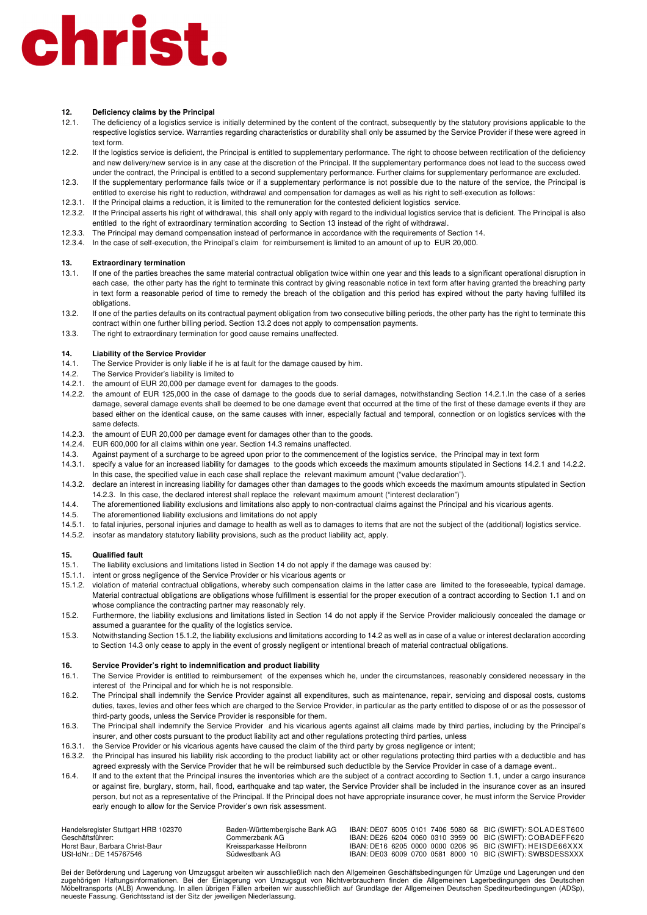### **12. Deficiency claims by the Principal**

- 12.1. The deficiency of a logistics service is initially determined by the content of the contract, subsequently by the statutory provisions applicable to the respective logistics service. Warranties regarding characteristics or durability shall only be assumed by the Service Provider if these were agreed in text form.
- 12.2. If the logistics service is deficient, the Principal is entitled to supplementary performance. The right to choose between rectification of the deficiency and new delivery/new service is in any case at the discretion of the Principal. If the supplementary performance does not lead to the success owed under the contract, the Principal is entitled to a second supplementary performance. Further claims for supplementary performance are excluded.
- 12.3. If the supplementary performance fails twice or if a supplementary performance is not possible due to the nature of the service, the Principal is entitled to exercise his right to reduction, withdrawal and compensation for damages as well as his right to self-execution as follows:
- 12.3.1. If the Principal claims a reduction, it is limited to the remuneration for the contested deficient logistics service.
- 12.3.2. If the Principal asserts his right of withdrawal, this shall only apply with regard to the individual logistics service that is deficient. The Principal is also entitled to the right of extraordinary termination according to Section 13 instead of the right of withdrawal.
- 12.3.3. The Principal may demand compensation instead of performance in accordance with the requirements of Section 14.
- 12.3.4. In the case of self-execution, the Principal's claim for reimbursement is limited to an amount of up to EUR 20,000.

### **13. Extraordinary termination**

- 13.1. If one of the parties breaches the same material contractual obligation twice within one year and this leads to a significant operational disruption in each case, the other party has the right to terminate this contract by giving reasonable notice in text form after having granted the breaching party in text form a reasonable period of time to remedy the breach of the obligation and this period has expired without the party having fulfilled its obligations.
- 13.2. If one of the parties defaults on its contractual payment obligation from two consecutive billing periods, the other party has the right to terminate this contract within one further billing period. Section 13.2 does not apply to compensation payments.
- 13.3. The right to extraordinary termination for good cause remains unaffected.

#### **14. Liability of the Service Provider**

- 14.1. The Service Provider is only liable if he is at fault for the damage caused by him.
- 14.2. The Service Provider's liability is limited to
- 14.2.1. the amount of EUR 20,000 per damage event for damages to the goods.
- 14.2.2. the amount of EUR 125,000 in the case of damage to the goods due to serial damages, notwithstanding Section 14.2.1.In the case of a series damage, several damage events shall be deemed to be one damage event that occurred at the time of the first of these damage events if they are based either on the identical cause, on the same causes with inner, especially factual and temporal, connection or on logistics services with the same defects.
- 14.2.3. the amount of EUR 20,000 per damage event for damages other than to the goods.
- 14.2.4. EUR 600,000 for all claims within one year. Section 14.3 remains unaffected.
- 14.3. Against payment of a surcharge to be agreed upon prior to the commencement of the logistics service, the Principal may in text form
- 14.3.1. specify a value for an increased liability for damages to the goods which exceeds the maximum amounts stipulated in Sections 14.2.1 and 14.2.2. In this case, the specified value in each case shall replace the relevant maximum amount ("value declaration").
- 14.3.2. declare an interest in increasing liability for damages other than damages to the goods which exceeds the maximum amounts stipulated in Section 14.2.3. In this case, the declared interest shall replace the relevant maximum amount ("interest declaration")
- 14.4. The aforementioned liability exclusions and limitations also apply to non-contractual claims against the Principal and his vicarious agents.
- 14.5. The aforementioned liability exclusions and limitations do not apply
- 14.5.1. to fatal injuries, personal injuries and damage to health as well as to damages to items that are not the subject of the (additional) logistics service.
- 14.5.2. insofar as mandatory statutory liability provisions, such as the product liability act, apply.

#### **15. Qualified fault**

- 15.1. The liability exclusions and limitations listed in Section 14 do not apply if the damage was caused by:
- 15.1.1. intent or gross negligence of the Service Provider or his vicarious agents or
- 15.1.2. violation of material contractual obligations, whereby such compensation claims in the latter case are limited to the foreseeable, typical damage. Material contractual obligations are obligations whose fulfillment is essential for the proper execution of a contract according to Section 1.1 and on whose compliance the contracting partner may reasonably rely.
- 15.2. Furthermore, the liability exclusions and limitations listed in Section 14 do not apply if the Service Provider maliciously concealed the damage or assumed a guarantee for the quality of the logistics service.
- 15.3. Notwithstanding Section 15.1.2, the liability exclusions and limitations according to 14.2 as well as in case of a value or interest declaration according to Section 14.3 only cease to apply in the event of grossly negligent or intentional breach of material contractual obligations.

### **16. Service Provider's right to indemnification and product liability**

- 16.1. The Service Provider is entitled to reimbursement of the expenses which he, under the circumstances, reasonably considered necessary in the interest of the Principal and for which he is not responsible.
- 16.2. The Principal shall indemnify the Service Provider against all expenditures, such as maintenance, repair, servicing and disposal costs, customs duties, taxes, levies and other fees which are charged to the Service Provider, in particular as the party entitled to dispose of or as the possessor of third-party goods, unless the Service Provider is responsible for them.
- 16.3. The Principal shall indemnify the Service Provider and his vicarious agents against all claims made by third parties, including by the Principal's insurer, and other costs pursuant to the product liability act and other regulations protecting third parties, unless
- 16.3.1. the Service Provider or his vicarious agents have caused the claim of the third party by gross negligence or intent;
- 16.3.2. the Principal has insured his liability risk according to the product liability act or other regulations protecting third parties with a deductible and has agreed expressly with the Service Provider that he will be reimbursed such deductible by the Service Provider in case of a damage event..
- 16.4. If and to the extent that the Principal insures the inventories which are the subject of a contract according to Section 1.1, under a cargo insurance or against fire, burglary, storm, hail, flood, earthquake and tap water, the Service Provider shall be included in the insurance cover as an insured person, but not as a representative of the Principal. If the Principal does not have appropriate insurance cover, he must inform the Service Provider early enough to allow for the Service Provider's own risk assessment.

| Handelsregister Stuttgart HRB 102370 | Baden-Württembergische Bank AG |  |  |  | IBAN: DE07 6005 0101 7406 5080 68 BIC (SWIFT): SOLADEST600 |
|--------------------------------------|--------------------------------|--|--|--|------------------------------------------------------------|
| Geschäftsführer:                     | Commerzbank AG-                |  |  |  | IBAN: DE26 6204 0060 0310 3959 00 BIC (SWIFT): COBADEFF620 |
| Horst Baur, Barbara Christ-Baur      | Kreissparkasse Heilbronn       |  |  |  | IBAN: DE16 6205 0000 0000 0206 95 BIC (SWIFT): HEISDE66XXX |
| USt-IdNr.: DE 145767546              | Südwestbank AG                 |  |  |  | IBAN: DE03 6009 0700 0581 8000 10 BIC (SWIFT): SWBSDESSXXX |

Bei der Beförderung und Lagerung von Umzugsgut arbeiten wir ausschließlich nach den Allgemeinen Geschäftsbedingungen für Umzüge und Lagerungen und den zugehörigen Haftungsinformationen. Bei der Einlagerung von Umzugsgut von Nichtverbrauchern finden die Allgemeinen Lagerbedingungen des Deutschen Möbeltransports (ALB) Anwendung. In allen übrigen Fällen arbeiten wir ausschließlich auf Grundlage der Allgemeinen Deutschen Spediteurbedingungen (ADSp), neueste Fassung. Gerichtsstand ist der Sitz der jeweiligen Niederlassung.